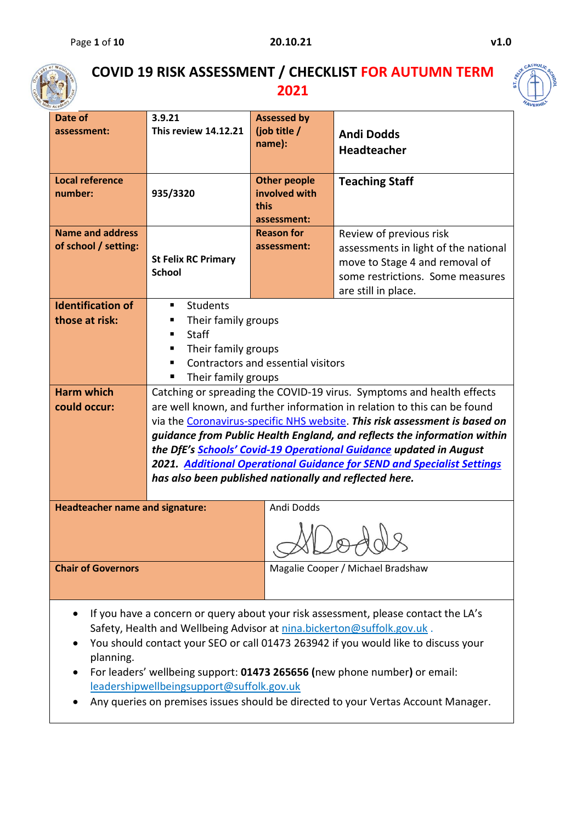

## **COVID 19 RISK ASSESSMENT / CHECKLIST FOR AUTUMN TERM 2021**



| Academy                                   |                                                                        |                                    |                                                                                    |  |  |  |  |
|-------------------------------------------|------------------------------------------------------------------------|------------------------------------|------------------------------------------------------------------------------------|--|--|--|--|
| Date of                                   | 3.9.21                                                                 | <b>Assessed by</b>                 |                                                                                    |  |  |  |  |
| assessment:                               | <b>This review 14.12.21</b>                                            | (job title /                       | <b>Andi Dodds</b>                                                                  |  |  |  |  |
|                                           |                                                                        | name):                             | <b>Headteacher</b>                                                                 |  |  |  |  |
|                                           |                                                                        |                                    |                                                                                    |  |  |  |  |
| <b>Local reference</b>                    |                                                                        | <b>Other people</b>                | <b>Teaching Staff</b>                                                              |  |  |  |  |
| number:                                   | 935/3320                                                               | involved with                      |                                                                                    |  |  |  |  |
|                                           |                                                                        | this                               |                                                                                    |  |  |  |  |
|                                           |                                                                        | assessment:                        |                                                                                    |  |  |  |  |
| <b>Name and address</b>                   |                                                                        | <b>Reason for</b>                  | Review of previous risk                                                            |  |  |  |  |
| of school / setting:                      |                                                                        | assessment:                        | assessments in light of the national                                               |  |  |  |  |
|                                           | <b>St Felix RC Primary</b>                                             |                                    | move to Stage 4 and removal of                                                     |  |  |  |  |
|                                           | <b>School</b>                                                          |                                    | some restrictions. Some measures                                                   |  |  |  |  |
|                                           |                                                                        |                                    | are still in place.                                                                |  |  |  |  |
| <b>Identification of</b>                  | Students<br>٠                                                          |                                    |                                                                                    |  |  |  |  |
| those at risk:                            | ш                                                                      | Their family groups                |                                                                                    |  |  |  |  |
|                                           | Staff<br>٠                                                             |                                    |                                                                                    |  |  |  |  |
|                                           | Their family groups<br>п                                               |                                    |                                                                                    |  |  |  |  |
|                                           | ٠                                                                      | Contractors and essential visitors |                                                                                    |  |  |  |  |
|                                           | Their family groups<br>٠                                               |                                    |                                                                                    |  |  |  |  |
| <b>Harm which</b>                         |                                                                        |                                    | Catching or spreading the COVID-19 virus. Symptoms and health effects              |  |  |  |  |
| could occur:                              |                                                                        |                                    | are well known, and further information in relation to this can be found           |  |  |  |  |
|                                           |                                                                        |                                    | via the Coronavirus-specific NHS website. This risk assessment is based on         |  |  |  |  |
|                                           |                                                                        |                                    | guidance from Public Health England, and reflects the information within           |  |  |  |  |
|                                           |                                                                        |                                    | the DfE's Schools' Covid-19 Operational Guidance updated in August                 |  |  |  |  |
|                                           |                                                                        |                                    | 2021. Additional Operational Guidance for SEND and Specialist Settings             |  |  |  |  |
|                                           | has also been published nationally and reflected here.                 |                                    |                                                                                    |  |  |  |  |
|                                           |                                                                        |                                    |                                                                                    |  |  |  |  |
| <b>Headteacher name and signature:</b>    |                                                                        | Andi Dodds                         |                                                                                    |  |  |  |  |
|                                           |                                                                        |                                    |                                                                                    |  |  |  |  |
|                                           |                                                                        |                                    |                                                                                    |  |  |  |  |
|                                           |                                                                        |                                    |                                                                                    |  |  |  |  |
| <b>Chair of Governors</b>                 |                                                                        |                                    | Magalie Cooper / Michael Bradshaw                                                  |  |  |  |  |
|                                           |                                                                        |                                    |                                                                                    |  |  |  |  |
|                                           |                                                                        |                                    |                                                                                    |  |  |  |  |
|                                           |                                                                        |                                    | If you have a concern or query about your risk assessment, please contact the LA's |  |  |  |  |
|                                           | Safety, Health and Wellbeing Advisor at nina.bickerton@suffolk.gov.uk. |                                    |                                                                                    |  |  |  |  |
|                                           |                                                                        |                                    | You should contact your SEO or call 01473 263942 if you would like to discuss your |  |  |  |  |
| planning.                                 |                                                                        |                                    |                                                                                    |  |  |  |  |
|                                           |                                                                        |                                    | For leaders' wellbeing support: 01473 265656 (new phone number) or email:          |  |  |  |  |
| leadershipwellbeingsupport@suffolk.gov.uk |                                                                        |                                    |                                                                                    |  |  |  |  |

• Any queries on premises issues should be directed to your Vertas Account Manager.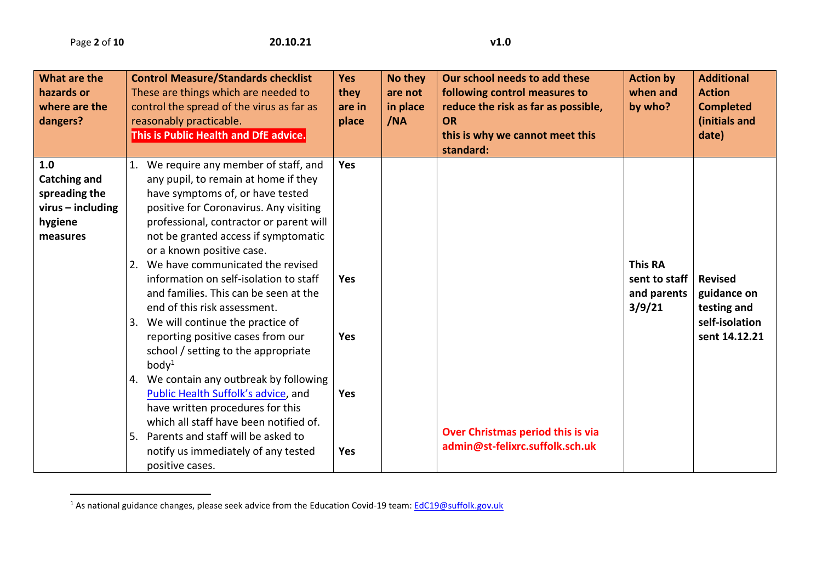$\overline{a}$ 

| What are the<br>hazards or<br>where are the<br>dangers?                                   | <b>Control Measure/Standards checklist</b><br>These are things which are needed to<br>control the spread of the virus as far as<br>reasonably practicable.<br>This is Public Health and DfE advice.                                                                                                                       | <b>Yes</b><br>they<br>are in<br>place                                                                                                                                                        | No they<br>are not<br>in place<br>/NA | Our school needs to add these<br>following control measures to<br>reduce the risk as far as possible,<br><b>OR</b><br>this is why we cannot meet this<br>standard: | <b>Action by</b><br>when and<br>by who?                  | <b>Additional</b><br><b>Action</b><br><b>Completed</b><br>(initials and<br>date) |
|-------------------------------------------------------------------------------------------|---------------------------------------------------------------------------------------------------------------------------------------------------------------------------------------------------------------------------------------------------------------------------------------------------------------------------|----------------------------------------------------------------------------------------------------------------------------------------------------------------------------------------------|---------------------------------------|--------------------------------------------------------------------------------------------------------------------------------------------------------------------|----------------------------------------------------------|----------------------------------------------------------------------------------|
| 1.0<br><b>Catching and</b><br>spreading the<br>$virus - including$<br>hygiene<br>measures | 1.<br>any pupil, to remain at home if they<br>have symptoms of, or have tested<br>or a known positive case.<br>2. We have communicated the revised<br>information on self-isolation to staff<br>and families. This can be seen at the<br>end of this risk assessment.<br>3. We will continue the practice of              | We require any member of staff, and<br><b>Yes</b><br>positive for Coronavirus. Any visiting<br>professional, contractor or parent will<br>not be granted access if symptomatic<br><b>Yes</b> |                                       |                                                                                                                                                                    | <b>This RA</b><br>sent to staff<br>and parents<br>3/9/21 | <b>Revised</b><br>guidance on<br>testing and<br>self-isolation                   |
|                                                                                           | reporting positive cases from our<br>school / setting to the appropriate<br>body <sup>1</sup><br>4. We contain any outbreak by following<br>Public Health Suffolk's advice, and<br>have written procedures for this<br>Parents and staff will be asked to<br>5.<br>notify us immediately of any tested<br>positive cases. | <b>Yes</b><br>Yes<br>which all staff have been notified of.<br><b>Yes</b>                                                                                                                    |                                       | Over Christmas period this is via<br>admin@st-felixrc.suffolk.sch.uk                                                                                               |                                                          | sent 14.12.21                                                                    |

<sup>&</sup>lt;sup>1</sup> As national guidance changes, please seek advice from the Education Covid-19 team: [EdC19@suffolk.gov.uk](mailto:EdC19@suffolk.gov.uk)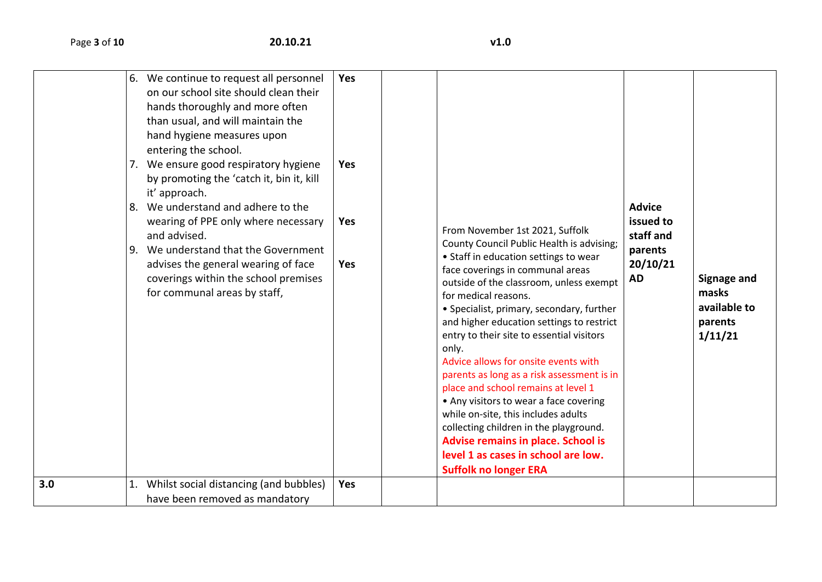| 3.0 | 6. We continue to request all personnel<br>on our school site should clean their<br>hands thoroughly and more often<br>than usual, and will maintain the<br>hand hygiene measures upon<br>entering the school.<br>7. We ensure good respiratory hygiene<br>by promoting the 'catch it, bin it, kill<br>it' approach.<br>8. We understand and adhere to the<br>wearing of PPE only where necessary<br>and advised.<br>9. We understand that the Government<br>advises the general wearing of face<br>coverings within the school premises<br>for communal areas by staff,<br>Whilst social distancing (and bubbles)<br>1. | Yes<br><b>Yes</b><br>Yes<br><b>Yes</b><br>Yes | From November 1st 2021, Suffolk<br>County Council Public Health is advising;<br>• Staff in education settings to wear<br>face coverings in communal areas<br>outside of the classroom, unless exempt<br>for medical reasons.<br>• Specialist, primary, secondary, further<br>and higher education settings to restrict<br>entry to their site to essential visitors<br>only.<br>Advice allows for onsite events with<br>parents as long as a risk assessment is in<br>place and school remains at level 1<br>• Any visitors to wear a face covering<br>while on-site, this includes adults<br>collecting children in the playground.<br>Advise remains in place. School is<br>level 1 as cases in school are low.<br><b>Suffolk no longer ERA</b> | <b>Advice</b><br>issued to<br>staff and<br>parents<br>20/10/21<br>AD | <b>Signage and</b><br>masks<br>available to<br>parents<br>1/11/21 |
|-----|--------------------------------------------------------------------------------------------------------------------------------------------------------------------------------------------------------------------------------------------------------------------------------------------------------------------------------------------------------------------------------------------------------------------------------------------------------------------------------------------------------------------------------------------------------------------------------------------------------------------------|-----------------------------------------------|---------------------------------------------------------------------------------------------------------------------------------------------------------------------------------------------------------------------------------------------------------------------------------------------------------------------------------------------------------------------------------------------------------------------------------------------------------------------------------------------------------------------------------------------------------------------------------------------------------------------------------------------------------------------------------------------------------------------------------------------------|----------------------------------------------------------------------|-------------------------------------------------------------------|
|     | have been removed as mandatory                                                                                                                                                                                                                                                                                                                                                                                                                                                                                                                                                                                           |                                               |                                                                                                                                                                                                                                                                                                                                                                                                                                                                                                                                                                                                                                                                                                                                                   |                                                                      |                                                                   |
|     |                                                                                                                                                                                                                                                                                                                                                                                                                                                                                                                                                                                                                          |                                               |                                                                                                                                                                                                                                                                                                                                                                                                                                                                                                                                                                                                                                                                                                                                                   |                                                                      |                                                                   |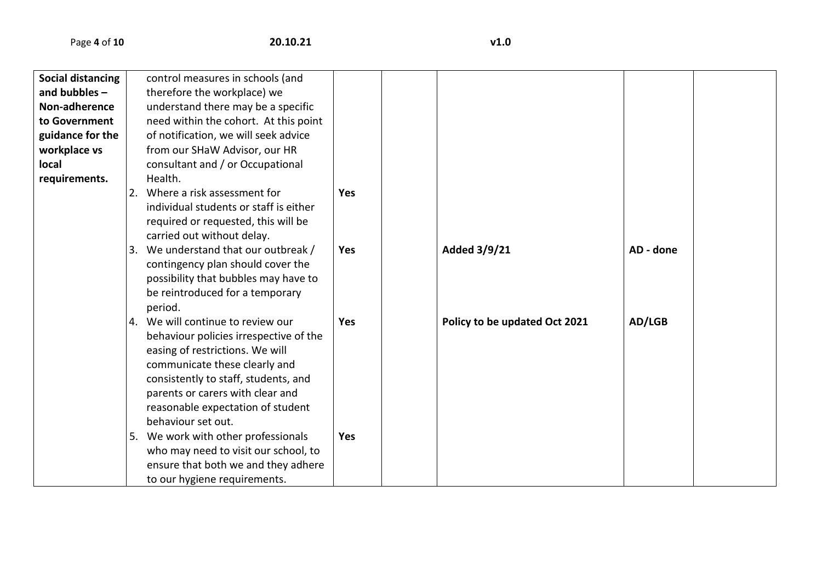Page **4** of **10 20.10.21 v1.0**

| <b>Social distancing</b><br>control measures in schools (and<br>and bubbles $-$<br>therefore the workplace) we<br>Non-adherence<br>understand there may be a specific<br>need within the cohort. At this point<br>to Government<br>of notification, we will seek advice<br>guidance for the<br>from our SHaW Advisor, our HR<br>workplace vs<br>local<br>consultant and / or Occupational<br>requirements.<br>Health.<br>2. Where a risk assessment for<br><b>Yes</b><br>individual students or staff is either<br>required or requested, this will be<br>carried out without delay.<br>3. We understand that our outbreak /<br>Added 3/9/21<br><b>Yes</b><br>AD - done<br>contingency plan should cover the |
|--------------------------------------------------------------------------------------------------------------------------------------------------------------------------------------------------------------------------------------------------------------------------------------------------------------------------------------------------------------------------------------------------------------------------------------------------------------------------------------------------------------------------------------------------------------------------------------------------------------------------------------------------------------------------------------------------------------|
|                                                                                                                                                                                                                                                                                                                                                                                                                                                                                                                                                                                                                                                                                                              |
|                                                                                                                                                                                                                                                                                                                                                                                                                                                                                                                                                                                                                                                                                                              |
|                                                                                                                                                                                                                                                                                                                                                                                                                                                                                                                                                                                                                                                                                                              |
|                                                                                                                                                                                                                                                                                                                                                                                                                                                                                                                                                                                                                                                                                                              |
|                                                                                                                                                                                                                                                                                                                                                                                                                                                                                                                                                                                                                                                                                                              |
|                                                                                                                                                                                                                                                                                                                                                                                                                                                                                                                                                                                                                                                                                                              |
|                                                                                                                                                                                                                                                                                                                                                                                                                                                                                                                                                                                                                                                                                                              |
|                                                                                                                                                                                                                                                                                                                                                                                                                                                                                                                                                                                                                                                                                                              |
|                                                                                                                                                                                                                                                                                                                                                                                                                                                                                                                                                                                                                                                                                                              |
|                                                                                                                                                                                                                                                                                                                                                                                                                                                                                                                                                                                                                                                                                                              |
|                                                                                                                                                                                                                                                                                                                                                                                                                                                                                                                                                                                                                                                                                                              |
|                                                                                                                                                                                                                                                                                                                                                                                                                                                                                                                                                                                                                                                                                                              |
|                                                                                                                                                                                                                                                                                                                                                                                                                                                                                                                                                                                                                                                                                                              |
|                                                                                                                                                                                                                                                                                                                                                                                                                                                                                                                                                                                                                                                                                                              |
| possibility that bubbles may have to                                                                                                                                                                                                                                                                                                                                                                                                                                                                                                                                                                                                                                                                         |
| be reintroduced for a temporary                                                                                                                                                                                                                                                                                                                                                                                                                                                                                                                                                                                                                                                                              |
| period.                                                                                                                                                                                                                                                                                                                                                                                                                                                                                                                                                                                                                                                                                                      |
| 4. We will continue to review our<br>AD/LGB<br><b>Yes</b><br>Policy to be updated Oct 2021                                                                                                                                                                                                                                                                                                                                                                                                                                                                                                                                                                                                                   |
| behaviour policies irrespective of the                                                                                                                                                                                                                                                                                                                                                                                                                                                                                                                                                                                                                                                                       |
| easing of restrictions. We will                                                                                                                                                                                                                                                                                                                                                                                                                                                                                                                                                                                                                                                                              |
| communicate these clearly and                                                                                                                                                                                                                                                                                                                                                                                                                                                                                                                                                                                                                                                                                |
| consistently to staff, students, and                                                                                                                                                                                                                                                                                                                                                                                                                                                                                                                                                                                                                                                                         |
| parents or carers with clear and                                                                                                                                                                                                                                                                                                                                                                                                                                                                                                                                                                                                                                                                             |
| reasonable expectation of student                                                                                                                                                                                                                                                                                                                                                                                                                                                                                                                                                                                                                                                                            |
| behaviour set out.                                                                                                                                                                                                                                                                                                                                                                                                                                                                                                                                                                                                                                                                                           |
| 5. We work with other professionals<br>Yes                                                                                                                                                                                                                                                                                                                                                                                                                                                                                                                                                                                                                                                                   |
| who may need to visit our school, to                                                                                                                                                                                                                                                                                                                                                                                                                                                                                                                                                                                                                                                                         |
| ensure that both we and they adhere                                                                                                                                                                                                                                                                                                                                                                                                                                                                                                                                                                                                                                                                          |
| to our hygiene requirements.                                                                                                                                                                                                                                                                                                                                                                                                                                                                                                                                                                                                                                                                                 |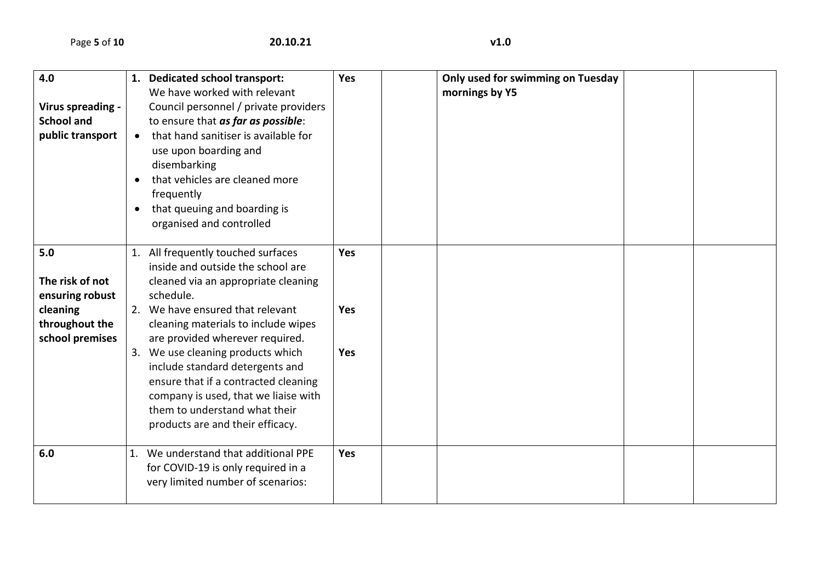| 4.0               |           | 1. Dedicated school transport:        | Yes        | Only used for swimming on Tuesday |  |
|-------------------|-----------|---------------------------------------|------------|-----------------------------------|--|
|                   |           | We have worked with relevant          |            | mornings by Y5                    |  |
| Virus spreading - |           | Council personnel / private providers |            |                                   |  |
| <b>School and</b> |           | to ensure that as far as possible:    |            |                                   |  |
| public transport  | $\bullet$ | that hand sanitiser is available for  |            |                                   |  |
|                   |           |                                       |            |                                   |  |
|                   |           | use upon boarding and                 |            |                                   |  |
|                   |           | disembarking                          |            |                                   |  |
|                   | $\bullet$ | that vehicles are cleaned more        |            |                                   |  |
|                   |           | frequently                            |            |                                   |  |
|                   | $\bullet$ | that queuing and boarding is          |            |                                   |  |
|                   |           | organised and controlled              |            |                                   |  |
|                   |           |                                       |            |                                   |  |
| 5.0               |           | 1. All frequently touched surfaces    | Yes        |                                   |  |
|                   |           |                                       |            |                                   |  |
|                   |           | inside and outside the school are     |            |                                   |  |
| The risk of not   |           | cleaned via an appropriate cleaning   |            |                                   |  |
| ensuring robust   |           | schedule.                             |            |                                   |  |
| cleaning          |           | 2. We have ensured that relevant      | <b>Yes</b> |                                   |  |
| throughout the    |           | cleaning materials to include wipes   |            |                                   |  |
| school premises   |           | are provided wherever required.       |            |                                   |  |
|                   |           | 3. We use cleaning products which     | Yes        |                                   |  |
|                   |           | include standard detergents and       |            |                                   |  |
|                   |           |                                       |            |                                   |  |
|                   |           | ensure that if a contracted cleaning  |            |                                   |  |
|                   |           | company is used, that we liaise with  |            |                                   |  |
|                   |           | them to understand what their         |            |                                   |  |
|                   |           | products are and their efficacy.      |            |                                   |  |
|                   |           |                                       |            |                                   |  |
| 6.0               |           | 1. We understand that additional PPE  | Yes        |                                   |  |
|                   |           | for COVID-19 is only required in a    |            |                                   |  |
|                   |           | very limited number of scenarios:     |            |                                   |  |
|                   |           |                                       |            |                                   |  |
|                   |           |                                       |            |                                   |  |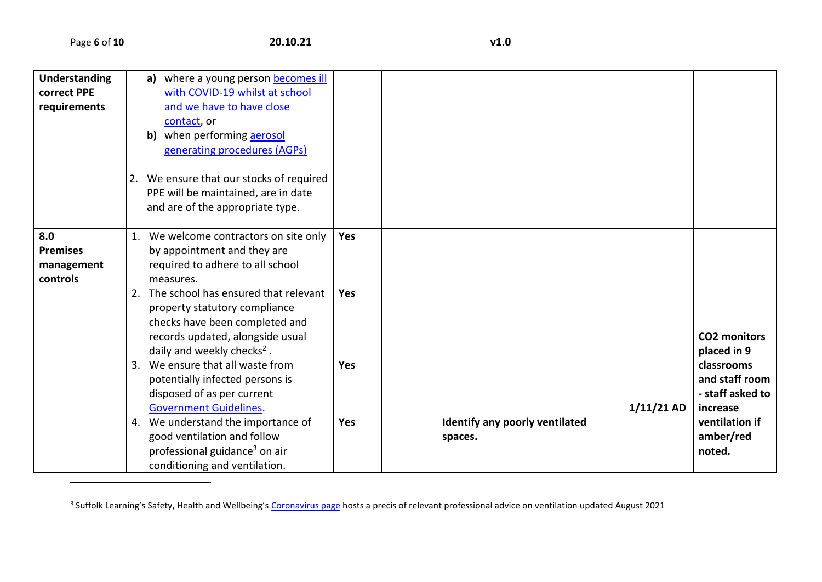$\overline{\phantom{a}}$ 

| Understanding   | a) where a young person becomes ill       |            |                                |              |                     |
|-----------------|-------------------------------------------|------------|--------------------------------|--------------|---------------------|
| correct PPE     | with COVID-19 whilst at school            |            |                                |              |                     |
| requirements    | and we have to have close                 |            |                                |              |                     |
|                 | contact, or                               |            |                                |              |                     |
|                 | when performing aerosol<br>b)             |            |                                |              |                     |
|                 | generating procedures (AGPs)              |            |                                |              |                     |
|                 |                                           |            |                                |              |                     |
|                 | 2. We ensure that our stocks of required  |            |                                |              |                     |
|                 | PPE will be maintained, are in date       |            |                                |              |                     |
|                 | and are of the appropriate type.          |            |                                |              |                     |
|                 |                                           |            |                                |              |                     |
| 8.0             | 1. We welcome contractors on site only    | Yes        |                                |              |                     |
| <b>Premises</b> | by appointment and they are               |            |                                |              |                     |
| management      | required to adhere to all school          |            |                                |              |                     |
| controls        | measures.                                 |            |                                |              |                     |
|                 | 2. The school has ensured that relevant   | <b>Yes</b> |                                |              |                     |
|                 | property statutory compliance             |            |                                |              |                     |
|                 | checks have been completed and            |            |                                |              |                     |
|                 |                                           |            |                                |              | <b>CO2 monitors</b> |
|                 | records updated, alongside usual          |            |                                |              |                     |
|                 | daily and weekly checks <sup>2</sup> .    |            |                                |              | placed in 9         |
|                 | 3. We ensure that all waste from          | <b>Yes</b> |                                |              | classrooms          |
|                 | potentially infected persons is           |            |                                |              | and staff room      |
|                 | disposed of as per current                |            |                                |              | - staff asked to    |
|                 | <b>Government Guidelines.</b>             |            |                                | $1/11/21$ AD | increase            |
|                 | 4. We understand the importance of        | Yes        | Identify any poorly ventilated |              | ventilation if      |
|                 | good ventilation and follow               |            | spaces.                        |              | amber/red           |
|                 | professional guidance <sup>3</sup> on air |            |                                |              | noted.              |
|                 | conditioning and ventilation.             |            |                                |              |                     |

<sup>&</sup>lt;sup>3</sup> Suffolk Learning's Safety, Health and Wellbeing's [Coronavirus page](https://www.suffolklearning.co.uk/leadership-staff-development/health-safety-wellbeing/coronavirus:-covid-19) hosts a precis of relevant professional advice on ventilation updated August 2021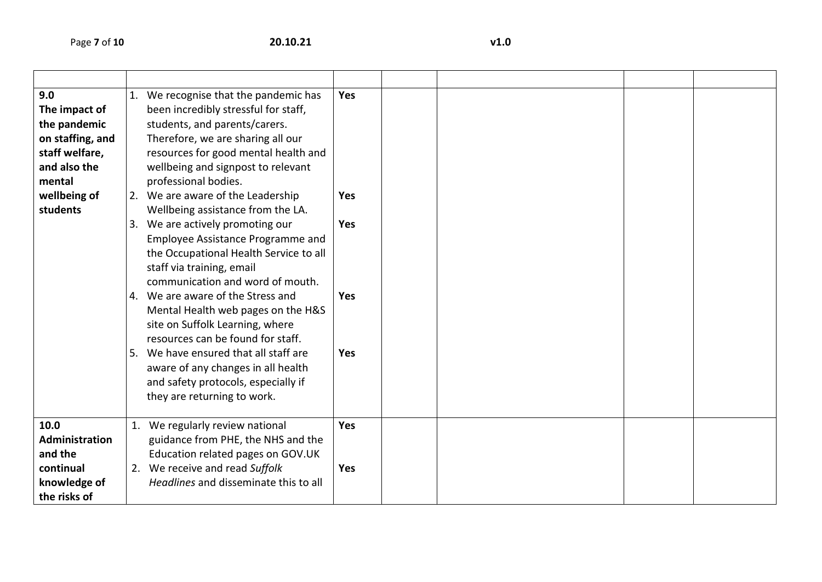| 9.0<br>The impact of<br>the pandemic<br>on staffing, and<br>staff welfare,<br>and also the<br>mental<br>wellbeing of<br>students | 1. We recognise that the pandemic has<br>been incredibly stressful for staff,<br>students, and parents/carers.<br>Therefore, we are sharing all our<br>resources for good mental health and<br>wellbeing and signpost to relevant<br>professional bodies.<br>2. We are aware of the Leadership<br>Wellbeing assistance from the LA.<br>3. We are actively promoting our<br>Employee Assistance Programme and<br>the Occupational Health Service to all<br>staff via training, email<br>communication and word of mouth.<br>4. We are aware of the Stress and<br>Mental Health web pages on the H&S<br>site on Suffolk Learning, where<br>resources can be found for staff.<br>5. We have ensured that all staff are<br>aware of any changes in all health<br>and safety protocols, especially if<br>they are returning to work. | Yes<br><b>Yes</b><br>Yes<br><b>Yes</b><br><b>Yes</b> |  |  |  |
|----------------------------------------------------------------------------------------------------------------------------------|---------------------------------------------------------------------------------------------------------------------------------------------------------------------------------------------------------------------------------------------------------------------------------------------------------------------------------------------------------------------------------------------------------------------------------------------------------------------------------------------------------------------------------------------------------------------------------------------------------------------------------------------------------------------------------------------------------------------------------------------------------------------------------------------------------------------------------|------------------------------------------------------|--|--|--|
| 10.0<br>Administration<br>and the<br>continual<br>knowledge of<br>the risks of                                                   | 1. We regularly review national<br>guidance from PHE, the NHS and the<br>Education related pages on GOV.UK<br>2. We receive and read Suffolk<br>Headlines and disseminate this to all                                                                                                                                                                                                                                                                                                                                                                                                                                                                                                                                                                                                                                           | Yes<br>Yes                                           |  |  |  |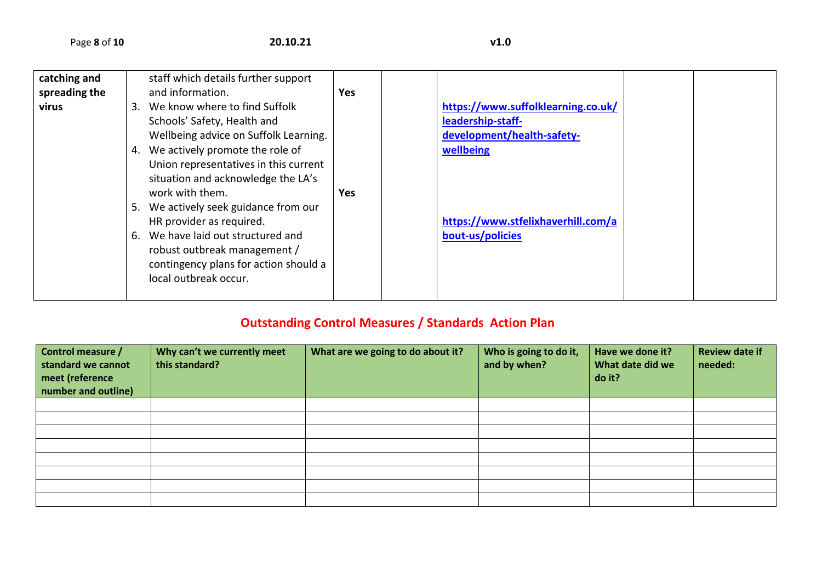| catching and  |    | staff which details further support   |            |                                    |  |
|---------------|----|---------------------------------------|------------|------------------------------------|--|
| spreading the |    | and information.                      | <b>Yes</b> |                                    |  |
| virus         | 3. | We know where to find Suffolk         |            | https://www.suffolklearning.co.uk/ |  |
|               |    | Schools' Safety, Health and           |            | leadership-staff-                  |  |
|               |    | Wellbeing advice on Suffolk Learning. |            | development/health-safety-         |  |
|               | 4. | We actively promote the role of       |            | wellbeing                          |  |
|               |    | Union representatives in this current |            |                                    |  |
|               |    | situation and acknowledge the LA's    |            |                                    |  |
|               |    | work with them.                       | <b>Yes</b> |                                    |  |
|               | 5. | We actively seek guidance from our    |            |                                    |  |
|               |    | HR provider as required.              |            | https://www.stfelixhaverhill.com/a |  |
|               | 6. | We have laid out structured and       |            | bout-us/policies                   |  |
|               |    | robust outbreak management /          |            |                                    |  |
|               |    | contingency plans for action should a |            |                                    |  |
|               |    | local outbreak occur.                 |            |                                    |  |
|               |    |                                       |            |                                    |  |

## **Outstanding Control Measures / Standards Action Plan**

| Control measure /<br>standard we cannot<br>meet (reference<br>number and outline) | Why can't we currently meet<br>this standard? | What are we going to do about it? | Who is going to do it,<br>and by when? | Have we done it?<br>What date did we<br>do it? | <b>Review date if</b><br>needed: |
|-----------------------------------------------------------------------------------|-----------------------------------------------|-----------------------------------|----------------------------------------|------------------------------------------------|----------------------------------|
|                                                                                   |                                               |                                   |                                        |                                                |                                  |
|                                                                                   |                                               |                                   |                                        |                                                |                                  |
|                                                                                   |                                               |                                   |                                        |                                                |                                  |
|                                                                                   |                                               |                                   |                                        |                                                |                                  |
|                                                                                   |                                               |                                   |                                        |                                                |                                  |
|                                                                                   |                                               |                                   |                                        |                                                |                                  |
|                                                                                   |                                               |                                   |                                        |                                                |                                  |
|                                                                                   |                                               |                                   |                                        |                                                |                                  |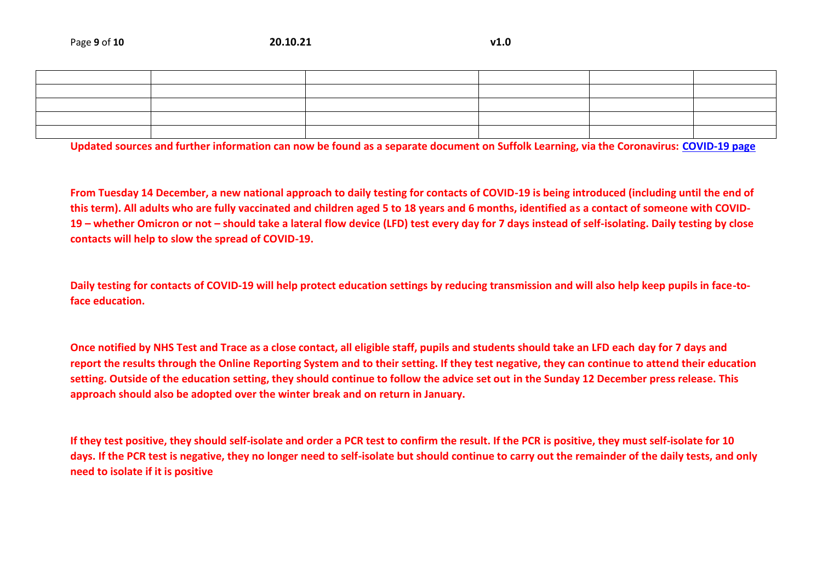|  | <u> 1989 - Johann Stoff, Amerikaansk politiker (* 1908)</u> |  |                                                                                                                 |
|--|-------------------------------------------------------------|--|-----------------------------------------------------------------------------------------------------------------|
|  |                                                             |  | the contract of the contract of the contract of the contract of the contract of the contract of the contract of |
|  |                                                             |  |                                                                                                                 |
|  |                                                             |  | the contract of the contract of the contract of the contract of the contract of the contract of the contract of |
|  |                                                             |  |                                                                                                                 |

**Updated sources and further information can now be found as a separate document on Suffolk Learning, via the Coronavirus: [COVID-19 page](https://www.suffolklearning.co.uk/leadership-staff-development/health-safety-wellbeing/coronavirus:-covid-19)**

**From Tuesday 14 December, a new national approach to daily testing for contacts of COVID-19 is being introduced (including until the end of this term). All adults who are fully vaccinated and children aged 5 to 18 years and 6 months, identified as a contact of someone with COVID-19 – whether Omicron or not – should take a lateral flow device (LFD) test every day for 7 days instead of self-isolating. Daily testing by close contacts will help to slow the spread of COVID-19.**

**Daily testing for contacts of COVID-19 will help protect education settings by reducing transmission and will also help keep pupils in face-toface education.**

**Once notified by NHS Test and Trace as a close contact, all eligible staff, pupils and students should take an LFD each day for 7 days and report the results through the Online Reporting System and to their setting. If they test negative, they can continue to attend their education setting. Outside of the education setting, they should continue to follow the advice set out in the Sunday 12 December press release. This approach should also be adopted over the winter break and on return in January.**

**If they test positive, they should self-isolate and order a PCR test to confirm the result. If the PCR is positive, they must self-isolate for 10 days. If the PCR test is negative, they no longer need to self-isolate but should continue to carry out the remainder of the daily tests, and only need to isolate if it is positive**